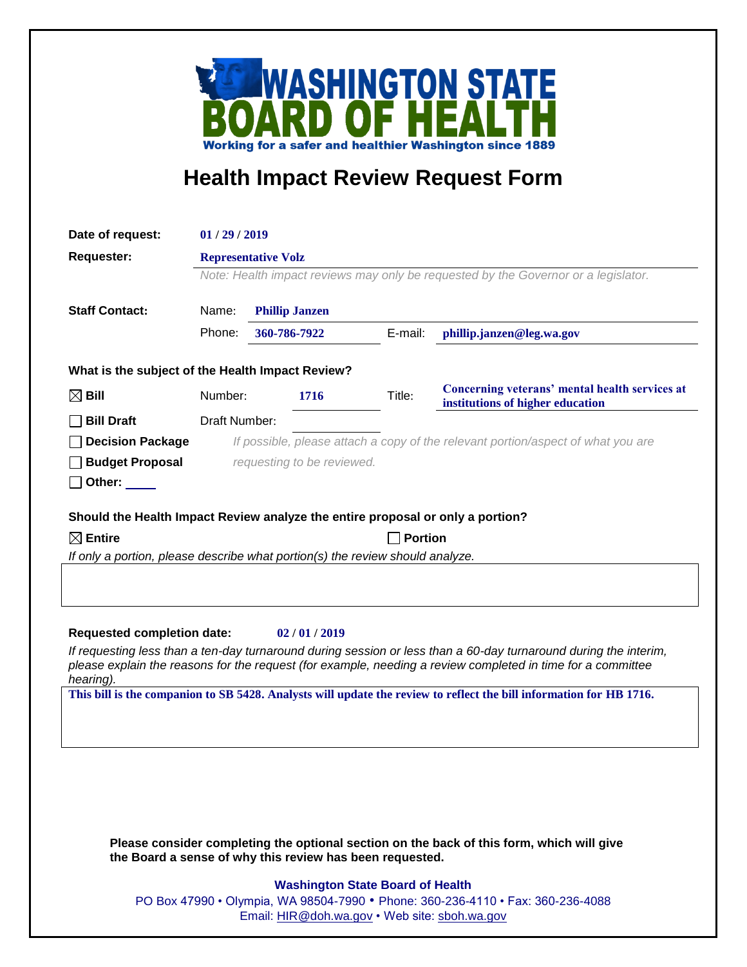

## **Health Impact Review Request Form**

| Date of request:                                                                                                                                                                                                                             | 01/29/2019                                                                         |                       |         |                                                                                                                     |
|----------------------------------------------------------------------------------------------------------------------------------------------------------------------------------------------------------------------------------------------|------------------------------------------------------------------------------------|-----------------------|---------|---------------------------------------------------------------------------------------------------------------------|
| <b>Requester:</b>                                                                                                                                                                                                                            | <b>Representative Volz</b>                                                         |                       |         |                                                                                                                     |
|                                                                                                                                                                                                                                              | Note: Health impact reviews may only be requested by the Governor or a legislator. |                       |         |                                                                                                                     |
| <b>Staff Contact:</b>                                                                                                                                                                                                                        | Name:                                                                              | <b>Phillip Janzen</b> |         |                                                                                                                     |
|                                                                                                                                                                                                                                              | Phone:                                                                             | 360-786-7922          | E-mail: | phillip.janzen@leg.wa.gov                                                                                           |
|                                                                                                                                                                                                                                              |                                                                                    |                       |         |                                                                                                                     |
| What is the subject of the Health Impact Review?                                                                                                                                                                                             |                                                                                    |                       |         |                                                                                                                     |
| $\boxtimes$ Bill                                                                                                                                                                                                                             | Number:                                                                            | 1716                  | Title:  | Concerning veterans' mental health services at<br>institutions of higher education                                  |
| <b>Bill Draft</b>                                                                                                                                                                                                                            | Draft Number:                                                                      |                       |         |                                                                                                                     |
| <b>Decision Package</b>                                                                                                                                                                                                                      | If possible, please attach a copy of the relevant portion/aspect of what you are   |                       |         |                                                                                                                     |
| <b>Budget Proposal</b>                                                                                                                                                                                                                       | requesting to be reviewed.                                                         |                       |         |                                                                                                                     |
| Other:                                                                                                                                                                                                                                       |                                                                                    |                       |         |                                                                                                                     |
| Should the Health Impact Review analyze the entire proposal or only a portion?                                                                                                                                                               |                                                                                    |                       |         |                                                                                                                     |
| $\boxtimes$ Entire<br><b>Portion</b>                                                                                                                                                                                                         |                                                                                    |                       |         |                                                                                                                     |
|                                                                                                                                                                                                                                              | If only a portion, please describe what portion(s) the review should analyze.      |                       |         |                                                                                                                     |
|                                                                                                                                                                                                                                              |                                                                                    |                       |         |                                                                                                                     |
|                                                                                                                                                                                                                                              |                                                                                    |                       |         |                                                                                                                     |
|                                                                                                                                                                                                                                              |                                                                                    |                       |         |                                                                                                                     |
| <b>Requested completion date:</b><br>02/01/2019                                                                                                                                                                                              |                                                                                    |                       |         |                                                                                                                     |
| If requesting less than a ten-day turnaround during session or less than a 60-day turnaround during the interim,<br>please explain the reasons for the request (for example, needing a review completed in time for a committee<br>hearing). |                                                                                    |                       |         |                                                                                                                     |
|                                                                                                                                                                                                                                              |                                                                                    |                       |         | This bill is the companion to SB 5428. Analysts will update the review to reflect the bill information for HB 1716. |
|                                                                                                                                                                                                                                              |                                                                                    |                       |         |                                                                                                                     |
|                                                                                                                                                                                                                                              |                                                                                    |                       |         |                                                                                                                     |
|                                                                                                                                                                                                                                              |                                                                                    |                       |         |                                                                                                                     |
|                                                                                                                                                                                                                                              |                                                                                    |                       |         |                                                                                                                     |
|                                                                                                                                                                                                                                              |                                                                                    |                       |         |                                                                                                                     |
|                                                                                                                                                                                                                                              |                                                                                    |                       |         |                                                                                                                     |

**Please consider completing the optional section on the back of this form, which will give the Board a sense of why this review has been requested.**

## **Washington State Board of Health**

PO Box 47990 • Olympia, WA 98504-7990 • Phone: 360-236-4110 • Fax: 360-236-4088 Email: [HIR@doh.wa.gov](mailto:HIR@doh.wa.gov) • Web site: [sboh.wa.gov](http://www.sboh.wa.gov/hdcouncil/)